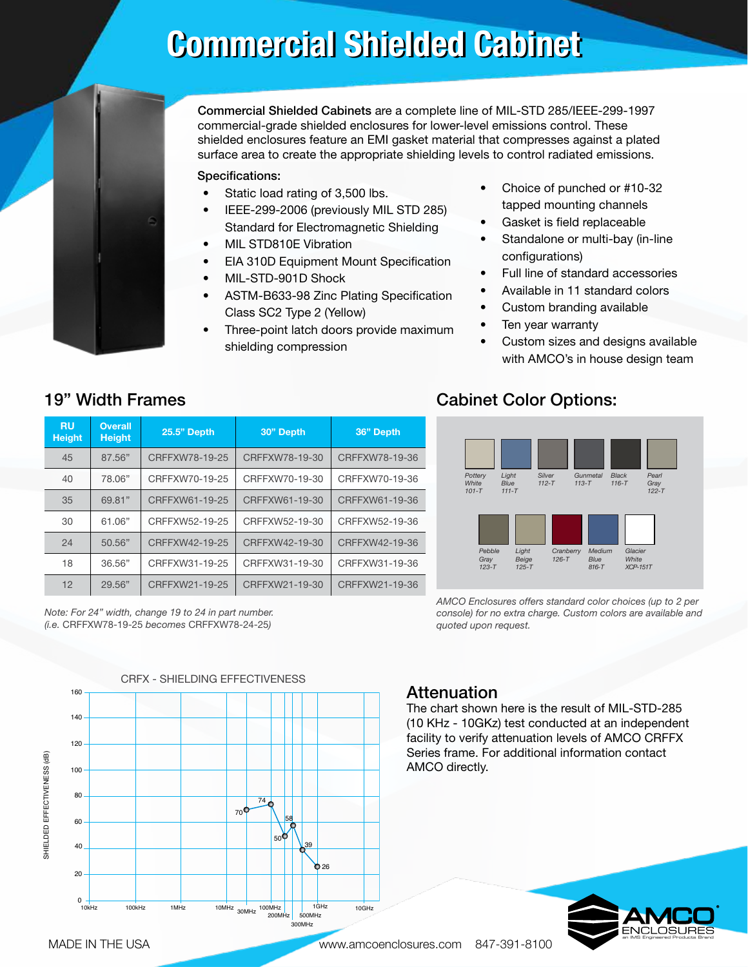# **Commercial Shielded Cabinet**



Commercial Shielded Cabinets are a complete line of MIL-STD 285/IEEE-299-1997 commercial-grade shielded enclosures for lower-level emissions control. These shielded enclosures feature an EMI gasket material that compresses against a plated surface area to create the appropriate shielding levels to control radiated emissions.

### Specifications:

- Static load rating of 3,500 lbs.
- IEEE-299-2006 (previously MIL STD 285) Standard for Electromagnetic Shielding
- MIL STD810E Vibration
- EIA 310D Equipment Mount Specification
- MIL-STD-901D Shock
- ASTM-B633-98 Zinc Plating Specification Class SC2 Type 2 (Yellow)
- Three-point latch doors provide maximum shielding compression
- Choice of punched or #10-32 tapped mounting channels
- Gasket is field replaceable
- Standalone or multi-bay (in-line configurations)
- Full line of standard accessories
- Available in 11 standard colors
- Custom branding available
- Ten year warranty
- Custom sizes and designs available with AMCO's in house design team

### 19" Width Frames

| <b>RU</b><br><b>Height</b> | <b>Overall</b><br><b>Height</b> | <b>25.5" Depth</b> | 30" Depth      | 36" Depth      |
|----------------------------|---------------------------------|--------------------|----------------|----------------|
| 45                         | 87.56"                          | CRFFXW78-19-25     | CRFFXW78-19-30 | CRFFXW78-19-36 |
| 40                         | 78.06"                          | CRFFXW70-19-25     | CRFFXW70-19-30 | CRFFXW70-19-36 |
| 35                         | 69.81"                          | CRFFXW61-19-25     | CRFFXW61-19-30 | CRFFXW61-19-36 |
| 30                         | 61.06"                          | CRFFXW52-19-25     | CRFFXW52-19-30 | CRFFXW52-19-36 |
| 24                         | 50.56"                          | CRFFXW42-19-25     | CRFFXW42-19-30 | CRFFXW42-19-36 |
| 18                         | 36.56"                          | CRFFXW31-19-25     | CRFFXW31-19-30 | CRFFXW31-19-36 |
| 12                         | 29.56"                          | CRFFXW21-19-25     | CRFFXW21-19-30 | CRFFXW21-19-36 |

*Note: For 24" width, change 19 to 24 in part number. (i.e.* CRFFXW78-19-25 *becomes* CRFFXW78-24-25*)*

## Cabinet Color Options:



*AMCO Enclosures offers standard color choices (up to 2 per console) for no extra charge. Custom colors are available and quoted upon request.*

CRFX - SHIELDING EFFECTIVENESS CRFX - SHIELDING EFFECTIVENESS 160 140 120 SHIELDED EFFECTIVENESS (dB) SHIELDED EFFECTIVENESS (dB) 100 80 74  $70$  58 60  $50 - \sqrt{39}$ 40 **b** 26 20  $0 +$ 10kHz 100kHz 1MHz 10MHz 30MHz 500MHz  $100MHz$   $1GHz$   $10GHz$  $200h$ 300MHz

### **Attenuation**

The chart shown here is the result of MIL-STD-285 (10 KHz - 10GKz) test conducted at an independent facility to verify attenuation levels of AMCO CRFFX Series frame. For additional information contact AMCO directly.